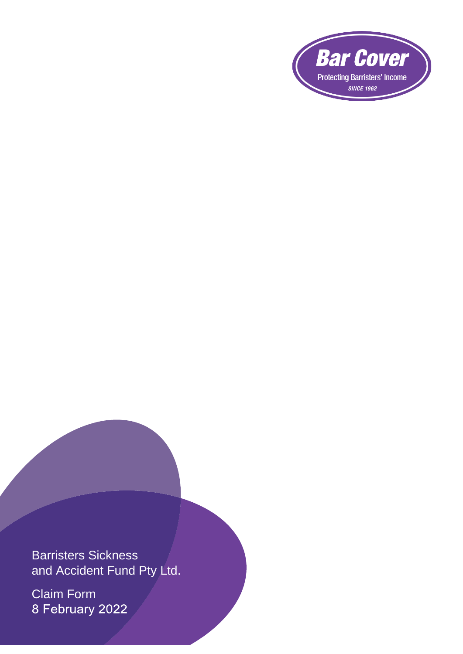

Barristers Sickness and Accident Fund Pty Ltd.

Claim Form<br>8 February 2022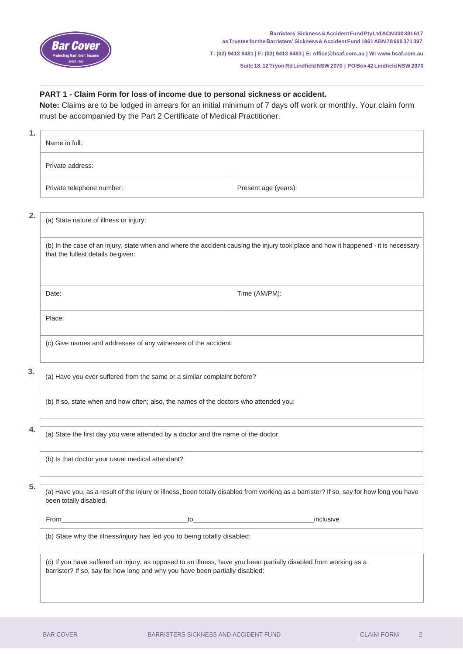

**Suite 18, 12Tryon RdLindfield NSW 2070 | POBox 42 Lindfield NSW 2070**

## **PART 1 - Claim Form for loss of income due to personal sickness or accident.**

**Note:** Claims are to be lodged in arrears for an initial minimum of 7 days off work or monthly. Your claim form must be accompanied by the Part 2 Certificate of Medical Practitioner.

| 1. | Name in full:                                                                                                                                                                                    |                      |  |
|----|--------------------------------------------------------------------------------------------------------------------------------------------------------------------------------------------------|----------------------|--|
|    | Private address:                                                                                                                                                                                 |                      |  |
|    | Private telephone number:                                                                                                                                                                        | Present age (years): |  |
| 2. | (a) State nature of illness or injury:                                                                                                                                                           |                      |  |
|    | (b) In the case of an injury, state when and where the accident causing the injury took place and how it happened - it is necessary<br>that the fullest details be given:                        |                      |  |
|    | Date:                                                                                                                                                                                            | Time (AM/PM):        |  |
|    | Place:                                                                                                                                                                                           |                      |  |
|    | (c) Give names and addresses of any witnesses of the accident:                                                                                                                                   |                      |  |
| 3. | (a) Have you ever suffered from the same or a similar complaint before?                                                                                                                          |                      |  |
|    | (b) If so, state when and how often; also, the names of the doctors who attended you:                                                                                                            |                      |  |
| 4. | (a) State the first day you were attended by a doctor and the name of the doctor:                                                                                                                |                      |  |
|    | (b) Is that doctor your usual medical attendant?                                                                                                                                                 |                      |  |
| 5. | (a) Have you, as a result of the injury or illness, been totally disabled from working as a barrister? If so, say for how long you have<br>been totally disabled.                                |                      |  |
|    |                                                                                                                                                                                                  |                      |  |
|    | (b) State why the illness/injury has led you to being totally disabled:                                                                                                                          |                      |  |
|    | (c) If you have suffered an injury, as opposed to an illness, have you been partially disabled from working as a<br>barrister? If so, say for how long and why you have been partially disabled: |                      |  |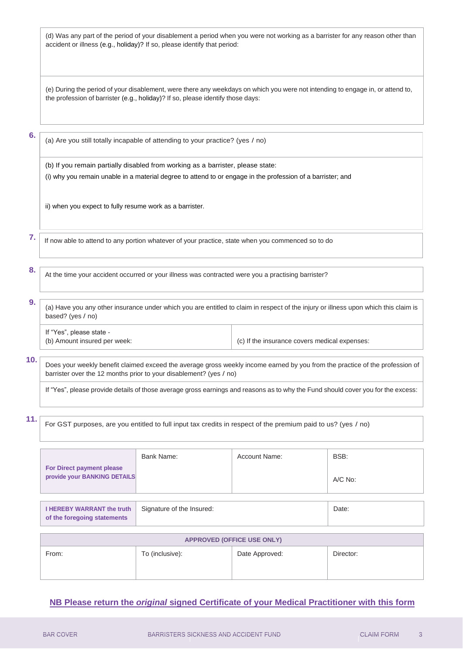(d) Was any part of the period of your disablement a period when you were not working as a barrister for any reason other than accident or illness (e.g., holiday)? If so, please identify that period:

(e) During the period of your disablement, were there any weekdays on which you were not intending to engage in, or attend to, the profession of barrister (e.g., holiday)? If so, please identify those days:

**6.**

(a) Are you still totally incapable of attending to your practice? (yes / no)

(b) If you remain partially disabled from working as a barrister, please state: (i) why you remain unable in a material degree to attend to or engage in the profession of a barrister; and

ii) when you expect to fully resume work as a barrister.

**7.** If now able to attend to any portion whatever of your practice, state when you commenced so to do

At the time your accident occurred or your illness was contracted were you a practising barrister?

**9.** (a) Have you any other insurance under which you are entitled to claim in respect of the injury or illness upon which this claim is based? (yes / no)

If "Yes", please state -

**of the foregoing statements**

(b) Amount insured per week: (c) If the insurance covers medical expenses:

**10.**

**8.**

Does your weekly benefit claimed exceed the average gross weekly income earned by you from the practice of the profession of barrister over the 12 months prior to your disablement? (yes / no)

If "Yes", please provide details of those average gross earnings and reasons as to why the Fund should cover you for the excess:

**11.**

For GST purposes, are you entitled to full input tax credits in respect of the premium paid to us? (yes / no)

| <b>For Direct payment please</b><br>provide your BANKING DETAILS | Bank Name:                | Account Name: | BSB:<br>A/C No: |
|------------------------------------------------------------------|---------------------------|---------------|-----------------|
|                                                                  |                           |               |                 |
| <b>I HEREBY WARRANT the truth</b>                                | Signature of the Insured: |               | Date:           |

| <b>APPROVED (OFFICE USE ONLY)</b> |                 |                |           |  |
|-----------------------------------|-----------------|----------------|-----------|--|
| From:                             | To (inclusive): | Date Approved: | Director: |  |

## **NB Please return the** *original* **signed Certificate of your Medical Practitioner with this form**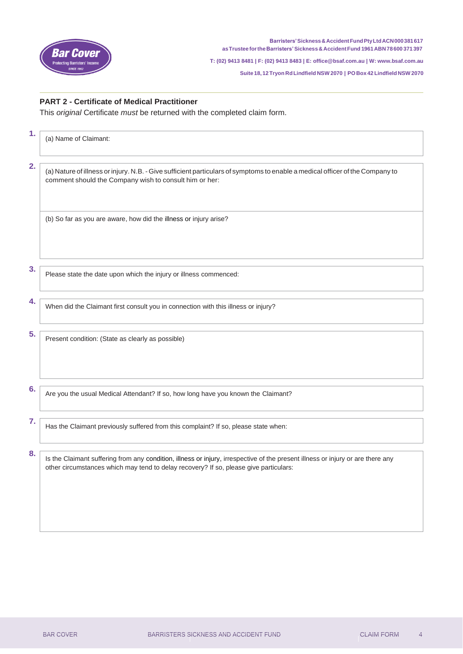

**Suite 18, 12Tryon RdLindfield NSW 2070 | POBox 42 Lindfield NSW 2070**

## **PART 2 - Certificate of Medical Practitioner**

This *original* Certificate *must* be returned with the completed claim form.

| 1. | (a) Name of Claimant:                                                                                                                                                                                                    |
|----|--------------------------------------------------------------------------------------------------------------------------------------------------------------------------------------------------------------------------|
| 2. | (a) Nature of illness or injury. N.B. - Give sufficient particulars of symptoms to enable a medical officer of the Company to<br>comment should the Company wish to consult him or her:                                  |
|    | (b) So far as you are aware, how did the illness or injury arise?                                                                                                                                                        |
| 3. | Please state the date upon which the injury or illness commenced:                                                                                                                                                        |
| 4. | When did the Claimant first consult you in connection with this illness or injury?                                                                                                                                       |
| 5. | Present condition: (State as clearly as possible)                                                                                                                                                                        |
| 6. | Are you the usual Medical Attendant? If so, how long have you known the Claimant?                                                                                                                                        |
| 7. | Has the Claimant previously suffered from this complaint? If so, please state when:                                                                                                                                      |
| 8. | Is the Claimant suffering from any condition, illness or injury, irrespective of the present illness or injury or are there any<br>other circumstances which may tend to delay recovery? If so, please give particulars: |